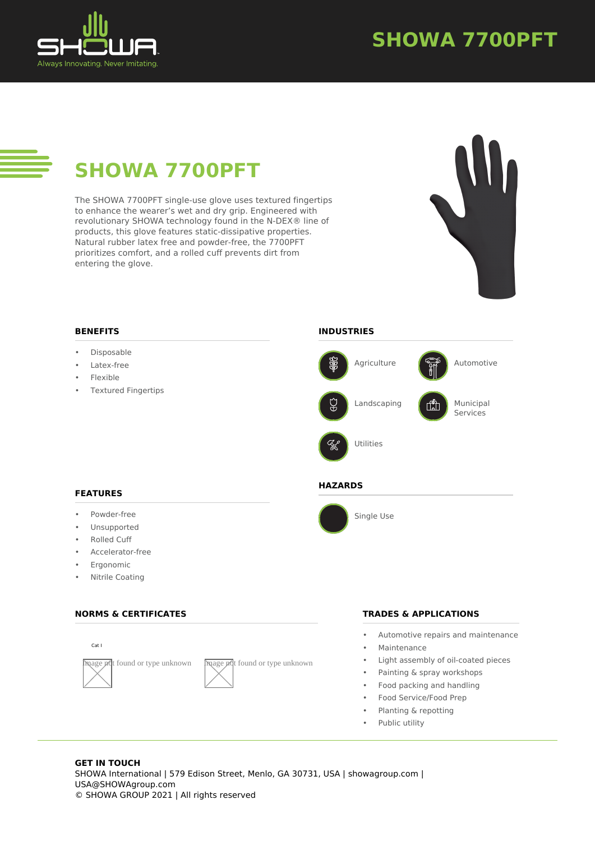

# **SHOWA 7700PFT**

# **SHOWA 7700PFT**

The SHOWA 7700PFT single-use glove uses textured fingertips to enhance the wearer's wet and dry grip. Engineered with revolutionary SHOWA technology found in the N-DEX® line of products, this glove features static-dissipative properties. Natural rubber latex free and powder-free, the 7700PFT prioritizes comfort, and a rolled cuff prevents dirt from entering the glove.



# **BENEFITS**

- Disposable
- Latex-free
- Flexible
- Textured Fingertips

# **INDUSTRIES**



# **FEATURES**

- Powder-free
- **Unsupported**
- Rolled Cuff
- Accelerator-free
- Ergonomic
- Nitrile Coating

# **NORMS & CERTIFICATES**





# **HAZARDS**



Single Use

# **TRADES & APPLICATIONS**

- Automotive repairs and maintenance
- **Maintenance**
- Light assembly of oil-coated pieces
- Painting & spray workshops
- Food packing and handling
- Food Service/Food Prep
- Planting & repotting
- Public utility

### **GET IN TOUCH** SHOWA International | 579 Edison Street, Menlo, GA 30731, USA | showagroup.com | USA@SHOWAgroup.com © SHOWA GROUP 2021 | All rights reserved